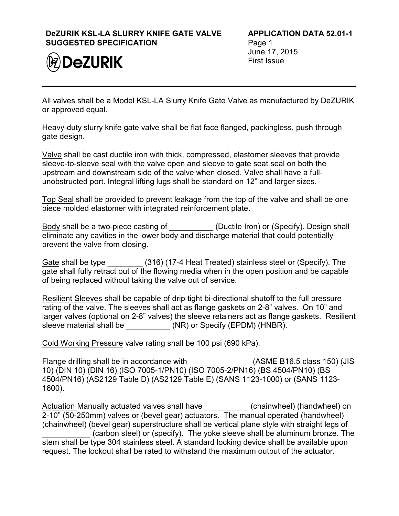## **DeZURIK KSL-LA SLURRY KNIFE GATE VALVE SUGGESTED SPECIFICATION**



**APPLICATION DATA 52.01-1** Page 1 June 17, 2015 First Issue

All valves shall be a Model KSL-LA Slurry Knife Gate Valve as manufactured by DeZURIK or approved equal.

Heavy-duty slurry knife gate valve shall be flat face flanged, packingless, push through gate design.

Valve shall be cast ductile iron with thick, compressed, elastomer sleeves that provide sleeve-to-sleeve seal with the valve open and sleeve to gate seat seal on both the upstream and downstream side of the valve when closed. Valve shall have a fullunobstructed port. Integral lifting lugs shall be standard on 12" and larger sizes.

Top Seal shall be provided to prevent leakage from the top of the valve and shall be one piece molded elastomer with integrated reinforcement plate.

Body shall be a two-piece casting of \_\_\_\_\_\_\_\_\_\_\_ (Ductile Iron) or (Specify). Design shall eliminate any cavities in the lower body and discharge material that could potentially prevent the valve from closing.

Gate shall be type  $(316)$  (17-4 Heat Treated) stainless steel or (Specify). The gate shall fully retract out of the flowing media when in the open position and be capable of being replaced without taking the valve out of service.

Resilient Sleeves shall be capable of drip tight bi-directional shutoff to the full pressure rating of the valve. The sleeves shall act as flange gaskets on 2-8" valves. On 10" and larger valves (optional on 2-8" valves) the sleeve retainers act as flange gaskets. Resilient sleeve material shall be \_\_\_\_\_\_\_\_\_\_\_\_ (NR) or Specify (EPDM) (HNBR).

Cold Working Pressure valve rating shall be 100 psi (690 kPa).

Flange drilling shall be in accordance with \_\_\_\_\_\_\_\_\_\_\_\_\_\_\_(ASME B16.5 class 150) (JIS 10) (DIN 10) (DIN 16) (ISO 7005-1/PN10) (ISO 7005-2/PN16) (BS 4504/PN10) (BS 4504/PN16) (AS2129 Table D) (AS2129 Table E) (SANS 1123-1000) or (SANS 1123- 1600).

Actuation Manually actuated valves shall have **the summent (chainwheel) (handwheel) on** 2-10" (50-250mm) valves or (bevel gear) actuators. The manual operated (handwheel) (chainwheel) (bevel gear) superstructure shall be vertical plane style with straight legs of (carbon steel) or (specify). The yoke sleeve shall be aluminum bronze. The stem shall be type 304 stainless steel. A standard locking device shall be available upon request. The lockout shall be rated to withstand the maximum output of the actuator.